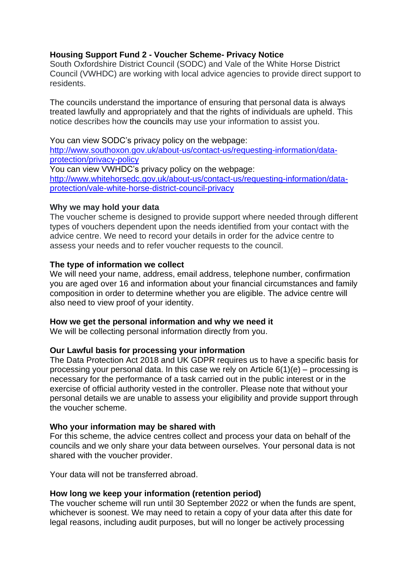# **Housing Support Fund 2 - Voucher Scheme- Privacy Notice**

South Oxfordshire District Council (SODC) and Vale of the White Horse District Council (VWHDC) are working with local advice agencies to provide direct support to residents.

The councils understand the importance of ensuring that personal data is always treated lawfully and appropriately and that the rights of individuals are upheld. This notice describes how the councils may use your information to assist you.

You can view SODC's privacy policy on the webpage: [http://www.southoxon.gov.uk/about-us/contact-us/requesting-information/data](http://www.southoxon.gov.uk/about-us/contact-us/requesting-information/data-protection/privacy-policy)[protection/privacy-policy](http://www.southoxon.gov.uk/about-us/contact-us/requesting-information/data-protection/privacy-policy) You can view VWHDC's privacy policy on the webpage: [http://www.whitehorsedc.gov.uk/about-us/contact-us/requesting-information/data](http://www.whitehorsedc.gov.uk/about-us/contact-us/requesting-information/data-protection/vale-white-horse-district-council-privacy)[protection/vale-white-horse-district-council-privacy](http://www.whitehorsedc.gov.uk/about-us/contact-us/requesting-information/data-protection/vale-white-horse-district-council-privacy)

# **Why we may hold your data**

The voucher scheme is designed to provide support where needed through different types of vouchers dependent upon the needs identified from your contact with the advice centre. We need to record your details in order for the advice centre to assess your needs and to refer voucher requests to the council.

# **The type of information we collect**

We will need your name, address, email address, telephone number, confirmation you are aged over 16 and information about your financial circumstances and family composition in order to determine whether you are eligible. The advice centre will also need to view proof of your identity.

#### **How we get the personal information and why we need it**

We will be collecting personal information directly from you.

#### **Our Lawful basis for processing your information**

The Data Protection Act 2018 and UK GDPR requires us to have a specific basis for processing your personal data. In this case we rely on Article  $6(1)(e)$  – processing is necessary for the performance of a task carried out in the public interest or in the exercise of official authority vested in the controller. Please note that without your personal details we are unable to assess your eligibility and provide support through the voucher scheme.

#### **Who your information may be shared with**

For this scheme, the advice centres collect and process your data on behalf of the councils and we only share your data between ourselves. Your personal data is not shared with the voucher provider.

Your data will not be transferred abroad.

#### **How long we keep your information (retention period)**

The voucher scheme will run until 30 September 2022 or when the funds are spent, whichever is soonest. We may need to retain a copy of your data after this date for legal reasons, including audit purposes, but will no longer be actively processing